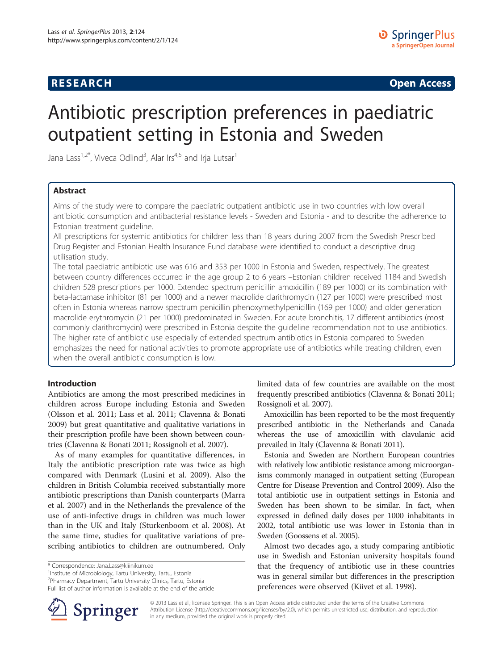## **RESEARCH CHINESE ARCH CHINESE ARCH CHINESE ARCH <b>CHINESE ARCH**

# Antibiotic prescription preferences in paediatric outpatient setting in Estonia and Sweden

Jana Lass $^{1,2^{\ast}}$ , Viveca Odlind $^{3}$ , Alar Irs $^{4,5}$  and Irja Lutsar $^{1}$ 

## Abstract

Aims of the study were to compare the paediatric outpatient antibiotic use in two countries with low overall antibiotic consumption and antibacterial resistance levels - Sweden and Estonia - and to describe the adherence to Estonian treatment guideline.

All prescriptions for systemic antibiotics for children less than 18 years during 2007 from the Swedish Prescribed Drug Register and Estonian Health Insurance Fund database were identified to conduct a descriptive drug utilisation study.

The total paediatric antibiotic use was 616 and 353 per 1000 in Estonia and Sweden, respectively. The greatest between country differences occurred in the age group 2 to 6 years –Estonian children received 1184 and Swedish children 528 prescriptions per 1000. Extended spectrum penicillin amoxicillin (189 per 1000) or its combination with beta-lactamase inhibitor (81 per 1000) and a newer macrolide clarithromycin (127 per 1000) were prescribed most often in Estonia whereas narrow spectrum penicillin phenoxymethylpenicillin (169 per 1000) and older generation macrolide erythromycin (21 per 1000) predominated in Sweden. For acute bronchitis, 17 different antibiotics (most commonly clarithromycin) were prescribed in Estonia despite the guideline recommendation not to use antibiotics. The higher rate of antibiotic use especially of extended spectrum antibiotics in Estonia compared to Sweden emphasizes the need for national activities to promote appropriate use of antibiotics while treating children, even when the overall antibiotic consumption is low.

## Introduction

Antibiotics are among the most prescribed medicines in children across Europe including Estonia and Sweden (Olsson et al. [2011](#page-7-0); Lass et al. [2011](#page-7-0); Clavenna & Bonati [2009](#page-7-0)) but great quantitative and qualitative variations in their prescription profile have been shown between countries (Clavenna & Bonati [2011](#page-7-0); Rossignoli et al. [2007](#page-7-0)).

As of many examples for quantitative differences, in Italy the antibiotic prescription rate was twice as high compared with Denmark (Lusini et al. [2009\)](#page-7-0). Also the children in British Columbia received substantially more antibiotic prescriptions than Danish counterparts (Marra et al. [2007](#page-7-0)) and in the Netherlands the prevalence of the use of anti-infective drugs in children was much lower than in the UK and Italy (Sturkenboom et al. [2008](#page-7-0)). At the same time, studies for qualitative variations of prescribing antibiotics to children are outnumbered. Only



Amoxicillin has been reported to be the most frequently prescribed antibiotic in the Netherlands and Canada whereas the use of amoxicillin with clavulanic acid prevailed in Italy (Clavenna & Bonati [2011\)](#page-7-0).

Estonia and Sweden are Northern European countries with relatively low antibiotic resistance among microorganisms commonly managed in outpatient setting (European Centre for Disease Prevention and Control [2009](#page-7-0)). Also the total antibiotic use in outpatient settings in Estonia and Sweden has been shown to be similar. In fact, when expressed in defined daily doses per 1000 inhabitants in 2002, total antibiotic use was lower in Estonia than in Sweden (Goossens et al. [2005\)](#page-7-0).

Almost two decades ago, a study comparing antibiotic use in Swedish and Estonian university hospitals found that the frequency of antibiotic use in these countries was in general similar but differences in the prescription preferences were observed (Kiivet et al. [1998\)](#page-7-0).



© 2013 Lass et al.; licensee Springer. This is an Open Access article distributed under the terms of the Creative Commons Attribution License [\(http://creativecommons.org/licenses/by/2.0\)](http://creativecommons.org/licenses/by/2.0), which permits unrestricted use, distribution, and reproduction in any medium, provided the original work is properly cited.

<sup>\*</sup> Correspondence: [Jana.Lass@kliinikum.ee](mailto:Jana.Lass@kliinikum.ee) <sup>1</sup>

<sup>&</sup>lt;sup>1</sup>Institute of Microbiology, Tartu University, Tartu, Estonia

<sup>2</sup> Pharmacy Department, Tartu University Clinics, Tartu, Estonia

Full list of author information is available at the end of the article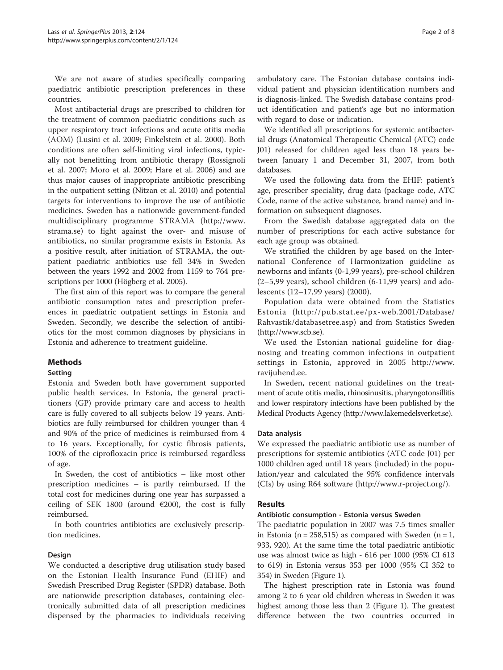We are not aware of studies specifically comparing paediatric antibiotic prescription preferences in these countries.

Most antibacterial drugs are prescribed to children for the treatment of common paediatric conditions such as upper respiratory tract infections and acute otitis media (AOM) (Lusini et al. [2009](#page-7-0); Finkelstein et al. [2000](#page-7-0)). Both conditions are often self-limiting viral infections, typically not benefitting from antibiotic therapy (Rossignoli et al. [2007;](#page-7-0) Moro et al. [2009;](#page-7-0) Hare et al. [2006](#page-7-0)) and are thus major causes of inappropriate antibiotic prescribing in the outpatient setting (Nitzan et al. [2010](#page-7-0)) and potential targets for interventions to improve the use of antibiotic medicines. Sweden has a nationwide government-funded multidisciplinary programme STRAMA ([http://www.](http://www.strama.se) [strama.se\)](http://www.strama.se) to fight against the over- and misuse of antibiotics, no similar programme exists in Estonia. As a positive result, after initiation of STRAMA, the outpatient paediatric antibiotics use fell 34% in Sweden between the years 1992 and 2002 from 1159 to 764 prescriptions per 1000 (Högberg et al. [2005\)](#page-7-0).

The first aim of this report was to compare the general antibiotic consumption rates and prescription preferences in paediatric outpatient settings in Estonia and Sweden. Secondly, we describe the selection of antibiotics for the most common diagnoses by physicians in Estonia and adherence to treatment guideline.

## Methods

## Setting

Estonia and Sweden both have government supported public health services. In Estonia, the general practitioners (GP) provide primary care and access to health care is fully covered to all subjects below 19 years. Antibiotics are fully reimbursed for children younger than 4 and 90% of the price of medicines is reimbursed from 4 to 16 years. Exceptionally, for cystic fibrosis patients, 100% of the ciprofloxacin price is reimbursed regardless of age.

In Sweden, the cost of antibiotics – like most other prescription medicines – is partly reimbursed. If the total cost for medicines during one year has surpassed a ceiling of SEK 1800 (around  $\epsilon$ 200), the cost is fully reimbursed.

In both countries antibiotics are exclusively prescription medicines.

#### Design

We conducted a descriptive drug utilisation study based on the Estonian Health Insurance Fund (EHIF) and Swedish Prescribed Drug Register (SPDR) database. Both are nationwide prescription databases, containing electronically submitted data of all prescription medicines dispensed by the pharmacies to individuals receiving

ambulatory care. The Estonian database contains individual patient and physician identification numbers and is diagnosis-linked. The Swedish database contains product identification and patient's age but no information with regard to dose or indication.

We identified all prescriptions for systemic antibacterial drugs (Anatomical Therapeutic Chemical (ATC) code J01) released for children aged less than 18 years between January 1 and December 31, 2007, from both databases.

We used the following data from the EHIF: patient's age, prescriber speciality, drug data (package code, ATC Code, name of the active substance, brand name) and information on subsequent diagnoses.

From the Swedish database aggregated data on the number of prescriptions for each active substance for each age group was obtained.

We stratified the children by age based on the International Conference of Harmonization guideline as newborns and infants (0-1,99 years), pre-school children (2–5,99 years), school children (6-11,99 years) and adolescents (12–17,99 years) ([2000\)](#page-7-0).

Population data were obtained from the Statistics Estonia ([http://pub.stat.ee/px-web.2001/Database/](http://pub.stat.ee/px-web.2001/Database/Rahvastik/databasetree.asp) [Rahvastik/databasetree.asp\)](http://pub.stat.ee/px-web.2001/Database/Rahvastik/databasetree.asp) and from Statistics Sweden ([http://www.scb.se\)](http://www.scb.se/).

We used the Estonian national guideline for diagnosing and treating common infections in outpatient settings in Estonia, approved in 2005 [http://www.](http://www.ravijuhend.ee) [ravijuhend.ee](http://www.ravijuhend.ee).

In Sweden, recent national guidelines on the treatment of acute otitis media, rhinosinusitis, pharyngotonsillitis and lower respiratory infections have been published by the Medical Products Agency (<http://www.lakemedelsverket.se>).

## Data analysis

We expressed the paediatric antibiotic use as number of prescriptions for systemic antibiotics (ATC code J01) per 1000 children aged until 18 years (included) in the population/year and calculated the 95% confidence intervals (CIs) by using R64 software [\(http://www.r-project.org/\)](http://www.r-project.org/).

## Results

## Antibiotic consumption - Estonia versus Sweden

The paediatric population in 2007 was 7.5 times smaller in Estonia (n = 258,515) as compared with Sweden (n = 1, 933, 920). At the same time the total paediatric antibiotic use was almost twice as high - 616 per 1000 (95% CI 613 to 619) in Estonia versus 353 per 1000 (95% CI 352 to 354) in Sweden (Figure [1](#page-2-0)).

The highest prescription rate in Estonia was found among 2 to 6 year old children whereas in Sweden it was highest among those less than 2 (Figure [1\)](#page-2-0). The greatest difference between the two countries occurred in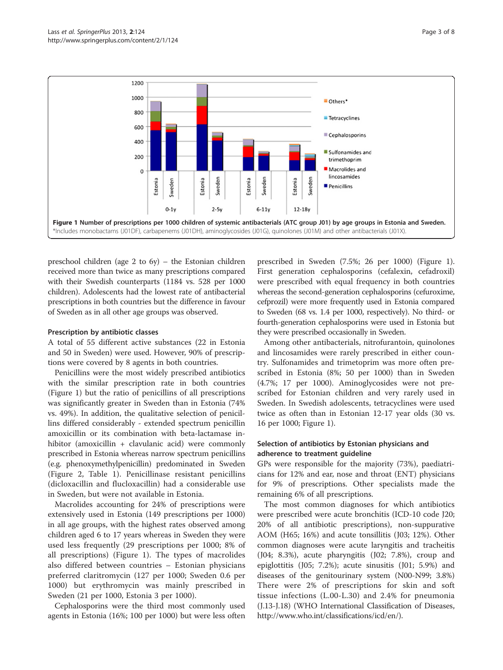<span id="page-2-0"></span>

preschool children (age 2 to 6y) – the Estonian children received more than twice as many prescriptions compared with their Swedish counterparts (1184 vs. 528 per 1000 children). Adolescents had the lowest rate of antibacterial prescriptions in both countries but the difference in favour of Sweden as in all other age groups was observed.

#### Prescription by antibiotic classes

A total of 55 different active substances (22 in Estonia and 50 in Sweden) were used. However, 90% of prescriptions were covered by 8 agents in both countries.

Penicillins were the most widely prescribed antibiotics with the similar prescription rate in both countries (Figure 1) but the ratio of penicillins of all prescriptions was significantly greater in Sweden than in Estonia (74% vs. 49%). In addition, the qualitative selection of penicillins differed considerably - extended spectrum penicillin amoxicillin or its combination with beta-lactamase inhibitor (amoxicillin + clavulanic acid) were commonly prescribed in Estonia whereas narrow spectrum penicillins (e.g. phenoxymethylpenicillin) predominated in Sweden (Figure [2](#page-3-0), Table [1](#page-4-0)). Penicillinase resistant penicillins (dicloxacillin and flucloxacillin) had a considerable use in Sweden, but were not available in Estonia.

Macrolides accounting for 24% of prescriptions were extensively used in Estonia (149 prescriptions per 1000) in all age groups, with the highest rates observed among children aged 6 to 17 years whereas in Sweden they were used less frequently (29 prescriptions per 1000; 8% of all prescriptions) (Figure 1). The types of macrolides also differed between countries – Estonian physicians preferred claritromycin (127 per 1000; Sweden 0.6 per 1000) but erythromycin was mainly prescribed in Sweden (21 per 1000, Estonia 3 per 1000).

Cephalosporins were the third most commonly used agents in Estonia (16%; 100 per 1000) but were less often

prescribed in Sweden (7.5%; 26 per 1000) (Figure 1). First generation cephalosporins (cefalexin, cefadroxil) were prescribed with equal frequency in both countries whereas the second-generation cephalosporins (cefuroxime, cefprozil) were more frequently used in Estonia compared to Sweden (68 vs. 1.4 per 1000, respectively). No third- or fourth-generation cephalosporins were used in Estonia but they were prescribed occasionally in Sweden.

Among other antibacterials, nitrofurantoin, quinolones and lincosamides were rarely prescribed in either country. Sulfonamides and trimetoprim was more often prescribed in Estonia (8%; 50 per 1000) than in Sweden (4.7%; 17 per 1000). Aminoglycosides were not prescribed for Estonian children and very rarely used in Sweden. In Swedish adolescents, tetracyclines were used twice as often than in Estonian 12-17 year olds (30 vs. 16 per 1000; Figure 1).

### Selection of antibiotics by Estonian physicians and adherence to treatment guideline

GPs were responsible for the majority (73%), paediatricians for 12% and ear, nose and throat (ENT) physicians for 9% of prescriptions. Other specialists made the remaining 6% of all prescriptions.

The most common diagnoses for which antibiotics were prescribed were acute bronchitis (ICD-10 code J20; 20% of all antibiotic prescriptions), non-suppurative AOM (H65; 16%) and acute tonsillitis (J03; 12%). Other common diagnoses were acute laryngitis and tracheitis (J04; 8.3%), acute pharyngitis (J02; 7.8%), croup and epiglottitis (J05; 7.2%); acute sinusitis (J01; 5.9%) and diseases of the genitourinary system (N00-N99; 3.8%) There were 2% of prescriptions for skin and soft tissue infections (L.00-L.30) and 2.4% for pneumonia (J.13-J.18) (WHO International Classification of Diseases, <http://www.who.int/classifications/icd/en/>).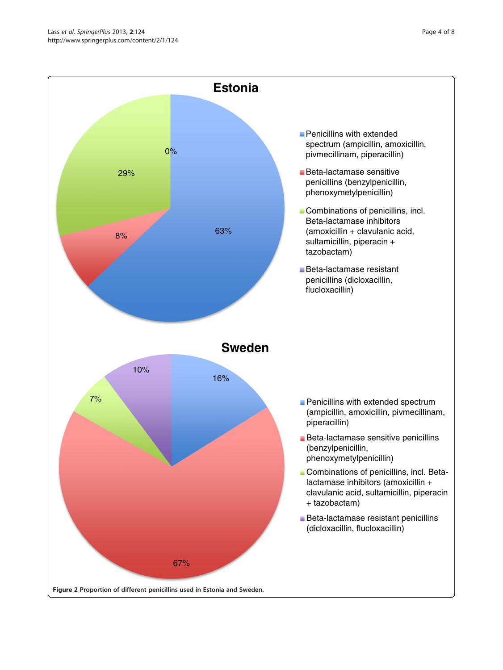<span id="page-3-0"></span>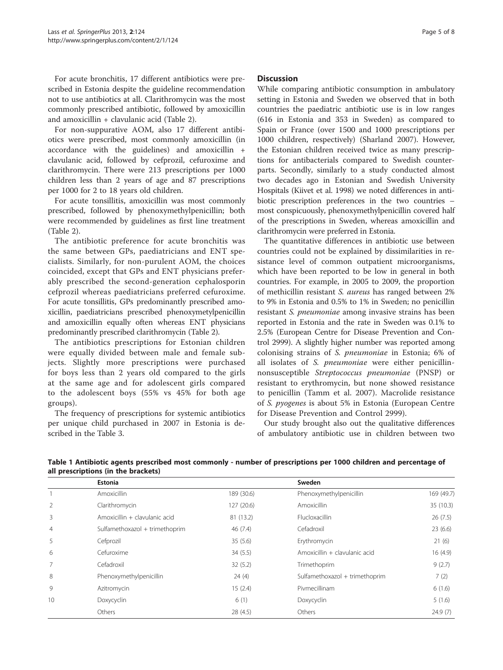<span id="page-4-0"></span>For acute bronchitis, 17 different antibiotics were prescribed in Estonia despite the guideline recommendation not to use antibiotics at all. Clarithromycin was the most commonly prescribed antibiotic, followed by amoxicillin and amoxicillin + clavulanic acid (Table [2](#page-5-0)).

For non-suppurative AOM, also 17 different antibiotics were prescribed, most commonly amoxicillin (in accordance with the guidelines) and amoxicillin + clavulanic acid, followed by cefprozil, cefuroxime and clarithromycin. There were 213 prescriptions per 1000 children less than 2 years of age and 87 prescriptions per 1000 for 2 to 18 years old children.

For acute tonsillitis, amoxicillin was most commonly prescribed, followed by phenoxymethylpenicillin; both were recommended by guidelines as first line treatment (Table [2\)](#page-5-0).

The antibiotic preference for acute bronchitis was the same between GPs, paediatricians and ENT specialists. Similarly, for non-purulent AOM, the choices coincided, except that GPs and ENT physicians preferably prescribed the second-generation cephalosporin cefprozil whereas paediatricians preferred cefuroxime. For acute tonsillitis, GPs predominantly prescribed amoxicillin, paediatricians prescribed phenoxymetylpenicillin and amoxicillin equally often whereas ENT physicians predominantly prescribed clarithromycin (Table [2](#page-5-0)).

The antibiotics prescriptions for Estonian children were equally divided between male and female subjects. Slightly more prescriptions were purchased for boys less than 2 years old compared to the girls at the same age and for adolescent girls compared to the adolescent boys (55% vs 45% for both age groups).

The frequency of prescriptions for systemic antibiotics per unique child purchased in 2007 in Estonia is described in the Table [3.](#page-6-0)

While comparing antibiotic consumption in ambulatory setting in Estonia and Sweden we observed that in both countries the paediatric antibiotic use is in low ranges (616 in Estonia and 353 in Sweden) as compared to Spain or France (over 1500 and 1000 prescriptions per 1000 children, respectively) (Sharland [2007](#page-7-0)). However, the Estonian children received twice as many prescriptions for antibacterials compared to Swedish counterparts. Secondly, similarly to a study conducted almost two decades ago in Estonian and Swedish University Hospitals (Kiivet et al. [1998](#page-7-0)) we noted differences in antibiotic prescription preferences in the two countries – most conspicuously, phenoxymethylpenicillin covered half of the prescriptions in Sweden, whereas amoxicillin and clarithromycin were preferred in Estonia.

The quantitative differences in antibiotic use between countries could not be explained by dissimilarities in resistance level of common outpatient microorganisms, which have been reported to be low in general in both countries. For example, in 2005 to 2009, the proportion of methicillin resistant S. aureus has ranged between 2% to 9% in Estonia and 0.5% to 1% in Sweden; no penicillin resistant S. pneumoniae among invasive strains has been reported in Estonia and the rate in Sweden was 0.1% to 2.5% (European Centre for Disease Prevention and Control [2999](#page-7-0)). A slightly higher number was reported among colonising strains of S. pneumoniae in Estonia; 6% of all isolates of S. pneumoniae were either penicillinnonsusceptible Streptococcus pneumoniae (PNSP) or resistant to erythromycin, but none showed resistance to penicillin (Tamm et al. [2007](#page-7-0)). Macrolide resistance of S. pyogenes is about 5% in Estonia (European Centre for Disease Prevention and Control [2999](#page-7-0)).

Our study brought also out the qualitative differences of ambulatory antibiotic use in children between two

|                | <b>Estonia</b>                 |            | Sweden                         |            |
|----------------|--------------------------------|------------|--------------------------------|------------|
|                | Amoxicillin                    | 189 (30.6) | Phenoxymethylpenicillin        | 169 (49.7) |
| 2              | Clarithromycin                 | 127 (20.6) | Amoxicillin                    | 35 (10.3)  |
| 3              | Amoxicillin + clavulanic acid  | 81 (13.2)  | Flucloxacillin                 | 26(7.5)    |
| $\overline{4}$ | Sulfamethoxazol + trimethoprim | 46 (7.4)   | Cefadroxil                     | 23(6.6)    |
| 5              | Cefprozil                      | 35(5.6)    | Erythromycin                   | 21(6)      |
| 6              | Cefuroxime                     | 34(5.5)    | Amoxicillin + clavulanic acid  | 16(4.9)    |
| 7              | Cefadroxil                     | 32(5.2)    | Trimethoprim                   | 9(2.7)     |
| 8              | Phenoxymethylpenicillin        | 24(4)      | Sulfamethoxazol + trimethoprim | 7(2)       |
| 9              | Azitromycin                    | 15(2.4)    | Pivmecillinam                  | 6(1.6)     |
| 10             | Doxycyclin                     | 6(1)       | Doxycyclin                     | 5(1.6)     |
|                | Others                         | 28(4.5)    | Others                         | 24.9(7)    |

Table 1 Antibiotic agents prescribed most commonly - number of prescriptions per 1000 children and percentage of all prescriptions (in the brackets)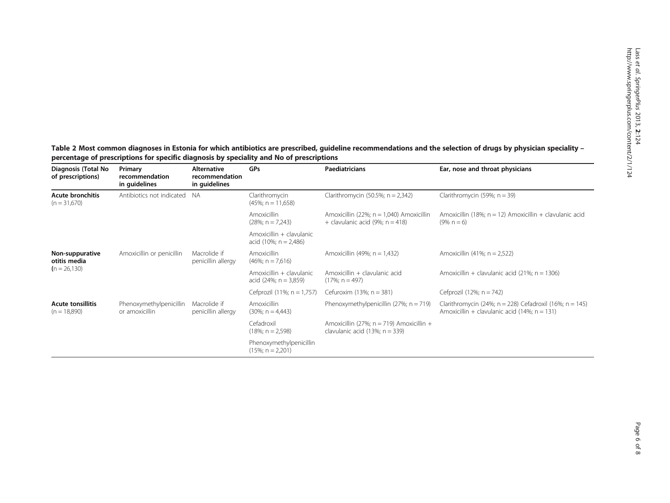<span id="page-5-0"></span>Table 2 Most common diagnoses in Estonia for which antibiotics are prescribed, guideline recommendations and the selection of drugs by physician speciality – percentage of prescriptions for specific diagnosis by speciality and No of prescriptions

| Diagnosis (Total No<br>of prescriptions)   | Primary<br>recommendation<br>in guidelines | <b>Alternative</b><br>recommendation<br>in guidelines | GPs                                                  | <b>Paediatricians</b>                                                             | Ear, nose and throat physicians                                                                            |
|--------------------------------------------|--------------------------------------------|-------------------------------------------------------|------------------------------------------------------|-----------------------------------------------------------------------------------|------------------------------------------------------------------------------------------------------------|
| <b>Acute bronchitis</b><br>$(n = 31,670)$  | Antibiotics not indicated                  | <b>NA</b>                                             | Clarithromycin<br>$(45\%; n = 11,658)$               | Clarithromycin (50.5%; $n = 2,342$ )                                              | Clarithromycin (59%; $n = 39$ )                                                                            |
|                                            |                                            |                                                       | <b>Amoxicillin</b><br>$(28\%; n = 7,243)$            | Amoxicillin (22%; $n = 1,040$ ) Amoxicillin<br>+ clavulanic acid (9%; $n = 418$ ) | Amoxicillin (18%; $n = 12$ ) Amoxicillin + clavulanic acid<br>$(9\% n = 6)$                                |
|                                            |                                            |                                                       | Amoxicillin + clavulanic<br>acid (10%; $n = 2,486$ ) |                                                                                   |                                                                                                            |
| Non-suppurative<br>otitis media            | Amoxicillin or penicillin                  | Macrolide if<br>penicillin allergy                    | <b>Amoxicillin</b><br>$(46\%; n = 7.616)$            | Amoxicillin (49%; $n = 1,432$ )                                                   | Amoxicillin $(41\%; n = 2.522)$                                                                            |
| $(n = 26, 130)$                            |                                            |                                                       | Amoxicillin + clavulanic<br>acid $(24\%; n = 3,859)$ | Amoxicillin + clavulanic acid<br>$(17\%; n = 497)$                                | Amoxicillin + clavulanic acid (21%; $n = 1306$ )                                                           |
|                                            |                                            |                                                       | Cefprozil (11%; n = 1,757)                           | Cefuroxim $(13\%; n = 381)$                                                       | Cefprozil (12%; $n = 742$ )                                                                                |
| <b>Acute tonsillitis</b><br>$(n = 18,890)$ | Phenoxymethylpenicillin<br>or amoxicillin  | Macrolide if<br>penicillin allergy                    | <b>Amoxicillin</b><br>$(30\%; n = 4,443)$            | Phenoxymethylpenicillin (27%; $n = 719$ )                                         | Clarithromycin (24%; n = 228) Cefadroxil (16%; n = 145)<br>Amoxicillin + clavulanic acid (14%; $n = 131$ ) |
|                                            |                                            |                                                       | Cefadroxil<br>$(18\%; n = 2,598)$                    | Amoxicillin (27%; $n = 719$ ) Amoxicillin +<br>clavulanic acid $(13\%; n = 339)$  |                                                                                                            |
|                                            |                                            |                                                       | Phenoxymethylpenicillin<br>$(15\%; n = 2,201)$       |                                                                                   |                                                                                                            |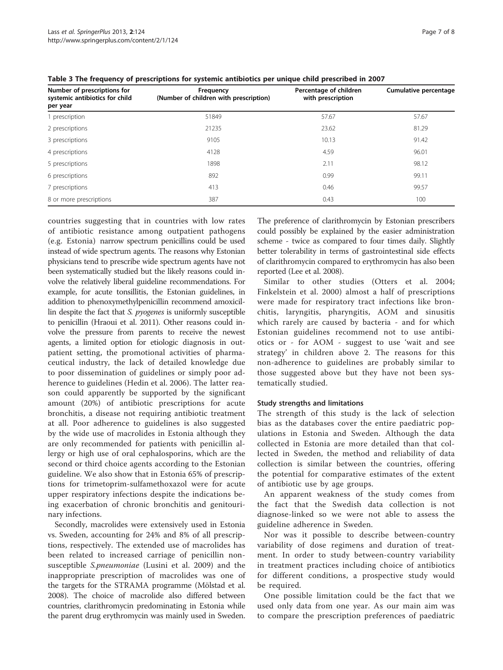| Number of prescriptions for                | Frequency                              | Percentage of children | Cumulative percentage |
|--------------------------------------------|----------------------------------------|------------------------|-----------------------|
| systemic antibiotics for child<br>per year | (Number of children with prescription) | with prescription      |                       |
| prescription                               | 51849                                  | 57.67                  | 57.67                 |
| 2 prescriptions                            | 21235                                  | 23.62                  | 81.29                 |
| 3 prescriptions                            | 9105                                   | 10.13                  | 91.42                 |
| 4 prescriptions                            | 4128                                   | 4.59                   | 96.01                 |
| 5 prescriptions                            | 1898                                   | 2.11                   | 98.12                 |
| 6 prescriptions                            | 892                                    | 0.99                   | 99.11                 |
| 7 prescriptions                            | 413                                    | 0.46                   | 99.57                 |
| 8 or more prescriptions                    | 387                                    | 0.43                   | 100                   |

<span id="page-6-0"></span>Table 3 The frequency of prescriptions for systemic antibiotics per unique child prescribed in 2007

countries suggesting that in countries with low rates of antibiotic resistance among outpatient pathogens (e.g. Estonia) narrow spectrum penicillins could be used instead of wide spectrum agents. The reasons why Estonian physicians tend to prescribe wide spectrum agents have not been systematically studied but the likely reasons could involve the relatively liberal guideline recommendations. For example, for acute tonsillitis, the Estonian guidelines, in addition to phenoxymethylpenicillin recommend amoxicillin despite the fact that S. pyogenes is uniformly susceptible to penicillin (Hraoui et al. [2011\)](#page-7-0). Other reasons could involve the pressure from parents to receive the newest agents, a limited option for etiologic diagnosis in outpatient setting, the promotional activities of pharmaceutical industry, the lack of detailed knowledge due to poor dissemination of guidelines or simply poor adherence to guidelines (Hedin et al. [2006](#page-7-0)). The latter reason could apparently be supported by the significant amount (20%) of antibiotic prescriptions for acute bronchitis, a disease not requiring antibiotic treatment at all. Poor adherence to guidelines is also suggested by the wide use of macrolides in Estonia although they are only recommended for patients with penicillin allergy or high use of oral cephalosporins, which are the second or third choice agents according to the Estonian guideline. We also show that in Estonia 65% of prescriptions for trimetoprim-sulfamethoxazol were for acute upper respiratory infections despite the indications being exacerbation of chronic bronchitis and genitourinary infections.

Secondly, macrolides were extensively used in Estonia vs. Sweden, accounting for 24% and 8% of all prescriptions, respectively. The extended use of macrolides has been related to increased carriage of penicillin nonsusceptible S.pneumoniae (Lusini et al. [2009\)](#page-7-0) and the inappropriate prescription of macrolides was one of the targets for the STRAMA programme (Mölstad et al. [2008\)](#page-7-0). The choice of macrolide also differed between countries, clarithromycin predominating in Estonia while the parent drug erythromycin was mainly used in Sweden.

The preference of clarithromycin by Estonian prescribers could possibly be explained by the easier administration scheme - twice as compared to four times daily. Slightly better tolerability in terms of gastrointestinal side effects of clarithromycin compared to erythromycin has also been reported (Lee et al. [2008\)](#page-7-0).

Similar to other studies (Otters et al. [2004](#page-7-0); Finkelstein et al. [2000\)](#page-7-0) almost a half of prescriptions were made for respiratory tract infections like bronchitis, laryngitis, pharyngitis, AOM and sinusitis which rarely are caused by bacteria - and for which Estonian guidelines recommend not to use antibiotics or - for AOM - suggest to use 'wait and see strategy' in children above 2. The reasons for this non-adherence to guidelines are probably similar to those suggested above but they have not been systematically studied.

## Study strengths and limitations

The strength of this study is the lack of selection bias as the databases cover the entire paediatric populations in Estonia and Sweden. Although the data collected in Estonia are more detailed than that collected in Sweden, the method and reliability of data collection is similar between the countries, offering the potential for comparative estimates of the extent of antibiotic use by age groups.

An apparent weakness of the study comes from the fact that the Swedish data collection is not diagnose-linked so we were not able to assess the guideline adherence in Sweden.

Nor was it possible to describe between-country variability of dose regimens and duration of treatment. In order to study between-country variability in treatment practices including choice of antibiotics for different conditions, a prospective study would be required.

One possible limitation could be the fact that we used only data from one year. As our main aim was to compare the prescription preferences of paediatric